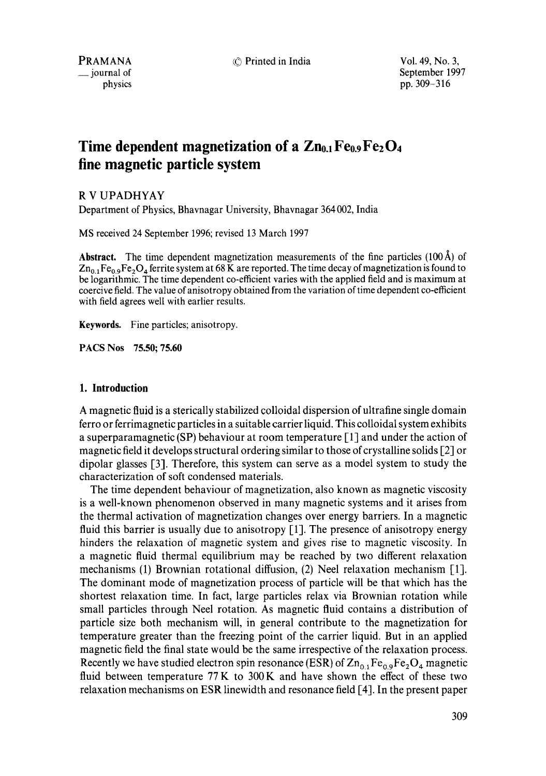(0 Printed in India **Vol.** 49, No. **3,** 

PRAMANA \_\_ journal of physics September 1997 pp. 309-316

# **Time dependent magnetization of a**  $\text{Zn}_{0.1}\text{Fe}_{0.9}\text{Fe}_{2}\text{O}_{4}$ **fine magnetic particle system**

# R V UPADHYAY

Department of Physics, Bhavnagar University, Bhavnagar 364 002, India

MS received 24 September 1996; revised 13 March 1997

**Abstract.** The time dependent magnetization measurements of the fine particles  $(100 \text{ Å})$  of  $Zn_{0,1}Fe_{0,9}Fe_{2}O_{4}$  ferrite system at 68 K are reported. The time decay of magnetization is found to be logarithmic. The time dependent co-efficient varies with the applied field and is maximum at coercive field. The value of anisotropy obtained from the variation of time dependent co-efficient with field agrees well with earlier results.

Keywords. Fine particles; anisotropy.

**PACS Nos 75.50; 75.60** 

## **1. Introduction**

A magnetic fluid is a sterically stabilized colloidal dispersion of ultrafine single domain ferro or ferrimagnetic particles in a suitable carrier liquid. This colloidal system exhibits a superparamagnetic (SP) behaviour at room temperature [1] and under the action of magnetic field it develops structural ordering similar to those of crystalline solids [2] or dipolar glasses [3]. Therefore, this system can serve as a model system to study the characterization of soft condensed materials.

The time dependent behaviour of magnetization, also known as magnetic viscosity is a well-known phenomenon observed in many magnetic systems and it arises from the thermal activation of magnetization changes over energy barriers. In a magnetic fluid this barrier is usually due to anisotropy  $[1]$ . The presence of anisotropy energy hinders the relaxation of magnetic system and gives rise to magnetic viscosity. In a magnetic fluid thermal equilibrium may be reached by two different relaxation mechanisms (1) Brownian rotational diffusion, (2) Neel relaxation mechanism [1]. The dominant mode of magnetization process of particle will be that which has the shortest relaxation time. In fact, large particles relax via Brownian rotation while small particles through Neel rotation. As magnetic fluid contains a distribution of particle size both mechanism will, in general contribute to the magnetization for temperature greater than the freezing point of the carrier liquid. But in an applied magnetic field the final state would be the same irrespective of the relaxation process. Recently we have studied electron spin resonance (ESR) of  $Zn_{0}$ ,  $Fe_{0}$ ,  $Fe_{2}O_{4}$  magnetic fluid between temperature 77 K to 300K and have shown the effect of these two relaxation mechanisms on ESR linewidth and resonance field [4]. In the present paper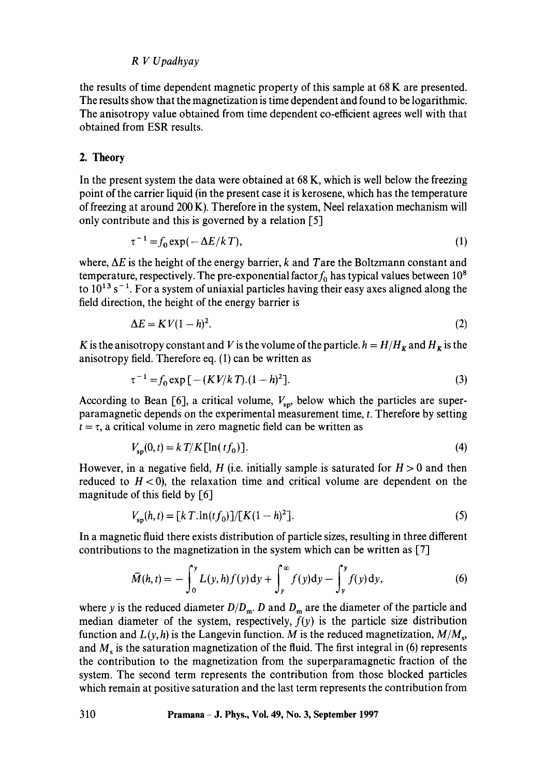the results of time dependent magnetic property of this sample at 68 K are presented. The results show that the magnetization is time dependent and found to be logarithmic. The anisotropy value obtained from time dependent co-efficient agrees well with that obtained from ESR results.

# 2. Theory

In the present system the data were obtained at 68 K, which is well below the freezing point of the carrier liquid (in the present case it is kerosene, which has the temperature of freezing at around 200 K). Therefore in the system, Neel relaxation mechanism will only contribute and this is governed by a relation [5]

$$
\tau^{-1} = f_0 \exp(-\Delta E/kT),\tag{1}
$$

where,  $\Delta E$  is the height of the energy barrier, k and Tare the Boltzmann constant and temperature, respectively. The pre-exponential factor  $f_0$  has typical values between 10<sup>8</sup> to  $10^{13}$  s<sup>-1</sup>. For a system of uniaxial particles having their easy axes aligned along the field direction, the height of the energy barrier is

$$
\Delta E = K V (1 - h)^2. \tag{2}
$$

K is the anisotropy constant and V is the volume of the particle,  $h = H/H_K$  and  $H_K$  is the anisotropy field. Therefore eq. (1) can be written as

$$
\tau^{-1} = f_0 \exp\left[ - (KV/kT)(1-h)^2 \right]. \tag{3}
$$

According to Bean [6], a critical volume,  $V_{\rm{sp}}$ , below which the particles are superparamagnetic depends on the experimental measurement time, t. Therefore by setting  $t = \tau$ , a critical volume in zero magnetic field can be written as

$$
V_{so}(0, t) = k \, T/K \, [\ln(t f_0)]. \tag{4}
$$

However, in a negative field, H (i.e. initially sample is saturated for  $H > 0$  and then reduced to  $H < 0$ ), the relaxation time and critical volume are dependent on the magnitude of this field by [6]

$$
V_{\rm sn}(h, t) = [k \, T \cdot \ln(t \, f_0)] / [K(1 - h)^2]. \tag{5}
$$

In a magnetic fluid there exists distribution of particle sizes, resulting in three different contributions to the magnetization in the system which can be written as [7]

$$
\bar{M}(h,t) = -\int_0^y L(y,h)f(y) \, dy + \int_y^\infty f(y) \, dy - \int_y^y f(y) \, dy,\tag{6}
$$

where y is the reduced diameter  $D/D_m$ . D and  $D_m$  are the diameter of the particle and median diameter of the system, respectively,  $\hat{f}(y)$  is the particle size distribution function and  $L(y, h)$  is the Langevin function. M is the reduced magnetization,  $M/M_s$ , and  $M<sub>s</sub>$  is the saturation magnetization of the fluid. The first integral in (6) represents the contribution to the magnetization from the superparamagnetic fraction of the system. The second term represents the contribution from those blocked particles which remain at positive saturation and the last term represents the contribution from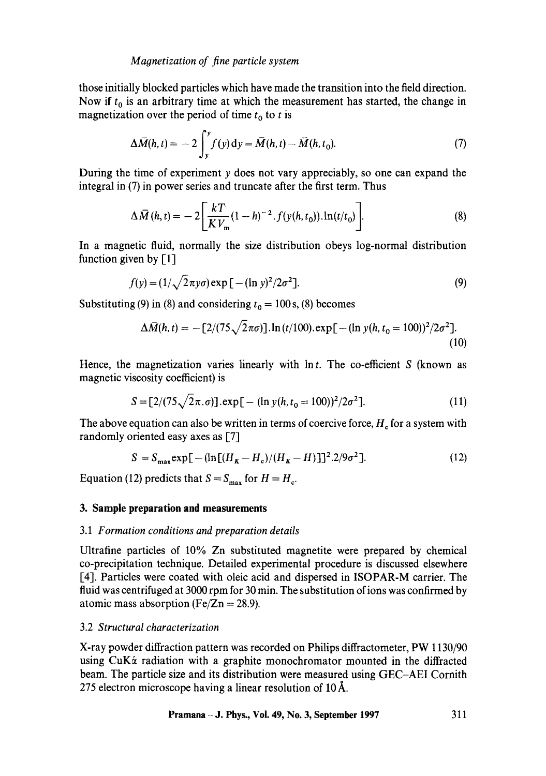## *Maonetization of fine particle system*

those initially blocked particles which have made the transition into the field direction. Now if  $t_0$  is an arbitrary time at which the measurement has started, the change in magnetization over the period of time  $t_0$  to t is

$$
\Delta \overline{M}(h,t) = -2 \int_{y}^{y} f(y) dy = \overline{M}(h,t) - \overline{M}(h,t_0). \tag{7}
$$

During the time of experiment y does not vary appreciably, so one can expand the integral in (7) in power series and truncate after the first term. Thus

$$
\Delta \bar{M}(h,t) = -2 \left[ \frac{kT}{KV_m} (1-h)^{-2} . f(y(h,t_0)) . \ln(t/t_0) \right].
$$
 (8)

In a magnetic fluid, normally the size distribution obeys log-normal distribution function given by [1]

$$
f(y) = (1/\sqrt{2}\pi y \sigma) \exp [-(\ln y)^2/2\sigma^2].
$$
 (9)

Substituting (9) in (8) and considering  $t_0 = 100$  s, (8) becomes

$$
\Delta \bar{M}(h,t) = -[2/(75\sqrt{2\pi\sigma})] \cdot \ln(t/100). \exp[-(\ln y(h,t_0=100))^2/2\sigma^2].
$$
\n(10)

Hence, the magnetization varies linearly with  $\ln t$ . The co-efficient S (known as magnetic viscosity coefficient) is

$$
S = [2/(75\sqrt{2}\pi.\sigma)] \exp[-(\ln y(h, t_0 = 100))^2/2\sigma^2].
$$
 (11)

The above equation can also be written in terms of coercive force,  $H_c$  for a system with randomly oriented easy axes as  $[7]$ 

$$
S = S_{\text{max}} \exp\left[-\left(\ln\left[(H_K - H_c)/(H_K - H)\right]\right]^2 \cdot 2/9\sigma^2\right].\tag{12}
$$

Equation (12) predicts that  $S = S_{\text{max}}$  for  $H = H_c$ .

#### **3. Sample preparation and measurements**

#### *3.1 Formation conditions and preparation details*

Ultrafine particles of 10% Zn substituted magnetite were prepared by chemical co-precipitation technique. Detailed experimental procedure is discussed elsewhere [4]. Particles were coated with oleic acid and dispersed in ISOPAR-M carrier. The fluid was centrifuged at 3000 rpm for 30 min. The substitution of ions was confirmed by atomic mass absorption (Fe/Zn = 28.9).

## 3.2 *Structural characterization*

X-ray powder diffraction pattern was recorded on Philips diffractometer, PW 1130/90 using CuK& radiation with a graphite monochromator mounted in the diffracted beam. The particle size and its distribution were measured using GEC-AEI Cornith 275 electron microscope having a linear resolution of  $10\text{\AA}$ .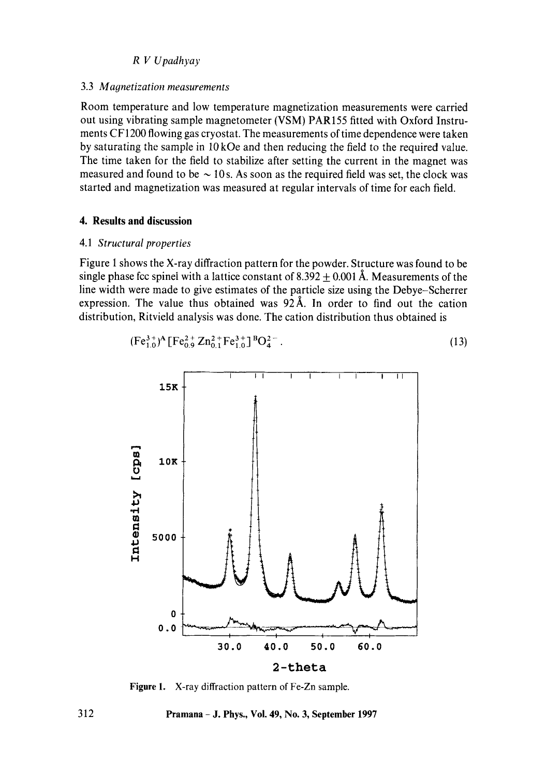## 3.3 *Magnetization measurements*

Room temperature and low temperature magnetization measurements were carried out using vibrating sample magnetometer (VSM) PAR155 fitted with Oxford Instruments CF1200 flowing gas cryostat. The measurements of time dependence were taken by saturating the sample in 10kOe and then reducing the field to the required value. The time taken for the field to stabilize after setting the current in the magnet was measured and found to be  $\sim$  10s. As soon as the required field was set, the clock was started and magnetization was measured at regular intervals of time for each field.

## **4. Results and discussion**

## 4.1 *Structural properties*

Figure 1 shows the X-ray diffraction pattern for the powder. Structure was found to be single phase fcc spinel with a lattice constant of 8.392  $\pm$  0.001 Å. Measurements of the line width were made to give estimates of the particle size using the Debye-Scherrer expression. The value thus obtained was  $92\text{\AA}$ . In order to find out the cation distribution, Ritvield analysis was done. The cation distribution thus obtained is

$$
(\mathrm{Fe}_{1.0}^{3+})^{\mathrm{A}}[\mathrm{Fe}_{0.9}^{2+}\mathrm{Zn}_{0.1}^{2+}\mathrm{Fe}_{1.0}^{3+}]^{B}\mathrm{O}_{4}^{2-}.
$$
 (13)



Figure 1. X-ray diffraction pattern of Fe-Zn sample.

312 Pramana - J. Phys., Vol. 49, No. 3, September 1997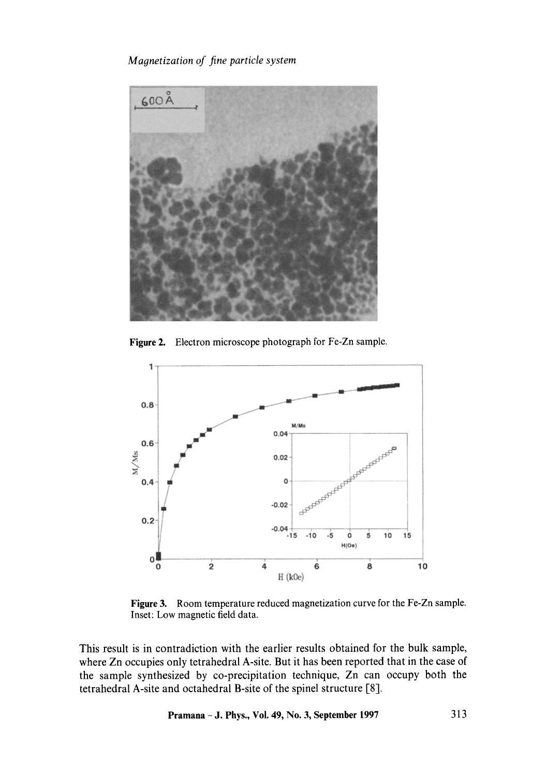# *Magnetization of fine particle system*



**Figure** 2. Electron microscope photograph for Fe-Zn sample.



Figure 3. Room temperature reduced magnetization curve for the Fe-Zn sample. Inset: Low magnetic field data.

This result is in contradiction with the earlier results obtained for the bulk sample, where Zn occupies only tetrahedral A-site. But it has been reported that in the case of the sample synthesized by co-precipitation technique, Zn can occupy both the tetrahedral A-site and octahedral B-site of the spinel structure [8].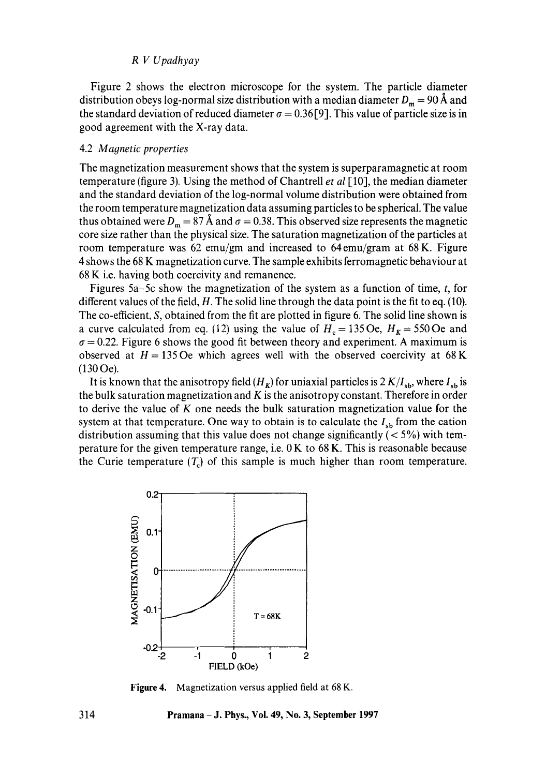Figure 2 shows the electron microscope for the system. The particle diameter distribution obeys log-normal size distribution with a median diameter  $D_m = 90 \text{ Å}$  and the standard deviation of reduced diameter  $\sigma = 0.36$  [9]. This value of particle size is in good agreement with the X-ray data.

## 4.2 *Magnetic properties*

The magnetization measurement shows that the system is superparamagnetic at room temperature (figure 3). Using the method of Chantrell *et al* [10], the median diameter and the standard deviation of the log-normal volume distribution were obtained from the room temperature magnetization data assuming particles to be spherical. The value thus obtained were  $D_m = 87 \text{ Å}$  and  $\sigma = 0.38$ . This observed size represents the magnetic core size rather than the physical size. The saturation magnetization of the particles at room temperature was 62 emu/gm and increased to 64 emu/gram at 68 K. Figure 4 shows the 68 K magnetization curve. The sample exhibits ferromagnetic behaviour at 68 K i.e. having both coercivity and remanence.

Figures 5a-5c show the magnetization of the system as a function of time, t, for different values of the field,  $H$ . The solid line through the data point is the fit to eq. (10). The co-efficient, S, obtained from the fit are plotted in figure 6. The solid line shown is a curve calculated from eq. (12) using the value of  $H_c = 135 \text{ Oe}$ ,  $H_K = 550 \text{ Oe}$  and  $\sigma = 0.22$ . Figure 6 shows the good fit between theory and experiment. A maximum is observed at  $H = 135$  Oe which agrees well with the observed coercivity at 68 K (130 Oe).

It is known that the anisotropy field  $(H_K)$  for uniaxial particles is  $2K/I_{sb}$ , where  $I_{sb}$  is the bulk saturation magnetization and  $K$  is the anisotropy constant. Therefore in order to derive the value of  $K$  one needs the bulk saturation magnetization value for the system at that temperature. One way to obtain is to calculate the  $I_{sh}$  from the cation distribution assuming that this value does not change significantly  $(< 5\%)$  with temperature for the given temperature range, i.e.  $0K$  to  $68K$ . This is reasonable because the Curie temperature  $(T_c)$  of this sample is much higher than room temperature.



**Figure** 4. Magnetization versus applied field at 68 K.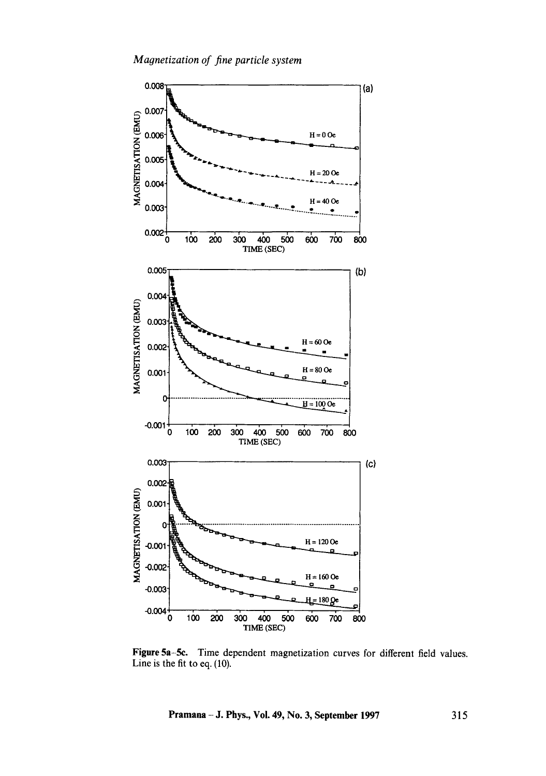

Figure 5a-Se. Time dependent magnetization curves for different field values. Line is the fit to eq. (10).